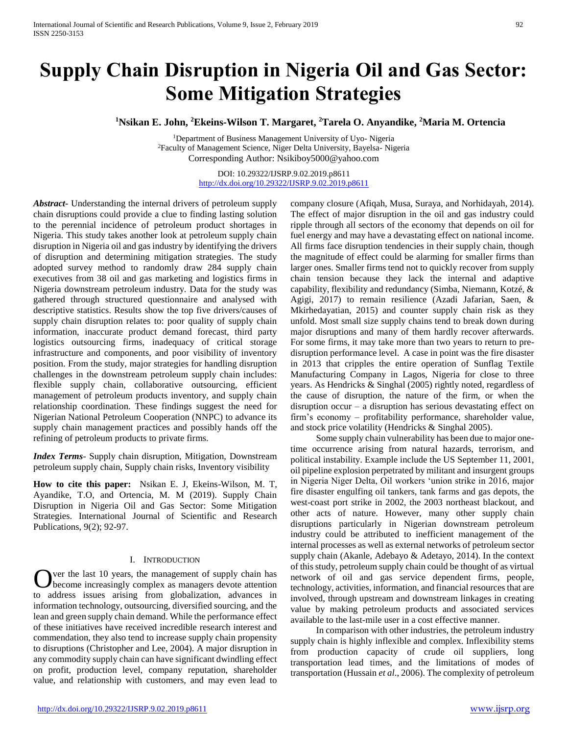# **Supply Chain Disruption in Nigeria Oil and Gas Sector: Some Mitigation Strategies**

**<sup>1</sup>Nsikan E. John, <sup>2</sup>Ekeins-Wilson T. Margaret, <sup>2</sup>Tarela O. Anyandike, <sup>2</sup>Maria M. Ortencia**

<sup>1</sup>Department of Business Management University of Uyo- Nigeria <sup>2</sup>Faculty of Management Science, Niger Delta University, Bayelsa- Nigeria Corresponding Author: Nsikiboy5000@yahoo.com

> DOI: 10.29322/IJSRP.9.02.2019.p8611 <http://dx.doi.org/10.29322/IJSRP.9.02.2019.p8611>

*Abstract***-** Understanding the internal drivers of petroleum supply chain disruptions could provide a clue to finding lasting solution to the perennial incidence of petroleum product shortages in Nigeria. This study takes another look at petroleum supply chain disruption in Nigeria oil and gas industry by identifying the drivers of disruption and determining mitigation strategies. The study adopted survey method to randomly draw 284 supply chain executives from 38 oil and gas marketing and logistics firms in Nigeria downstream petroleum industry. Data for the study was gathered through structured questionnaire and analysed with descriptive statistics. Results show the top five drivers/causes of supply chain disruption relates to: poor quality of supply chain information, inaccurate product demand forecast, third party logistics outsourcing firms, inadequacy of critical storage infrastructure and components, and poor visibility of inventory position. From the study, major strategies for handling disruption challenges in the downstream petroleum supply chain includes: flexible supply chain, collaborative outsourcing, efficient management of petroleum products inventory, and supply chain relationship coordination. These findings suggest the need for Nigerian National Petroleum Cooperation (NNPC) to advance its supply chain management practices and possibly hands off the refining of petroleum products to private firms.

*Index Terms*- Supply chain disruption, Mitigation, Downstream petroleum supply chain, Supply chain risks, Inventory visibility

**How to cite this paper:** Nsikan E. J, Ekeins-Wilson, M. T, Ayandike, T.O, and Ortencia, M. M (2019). Supply Chain Disruption in Nigeria Oil and Gas Sector: Some Mitigation Strategies. International Journal of Scientific and Research Publications, 9(2); 92-97.

#### I. INTRODUCTION

ver the last 10 years, the management of supply chain has become increasingly complex as managers devote attention to address issues arising from globalization, advances in information technology, outsourcing, diversified sourcing, and the lean and green supply chain demand. While the performance effect of these initiatives have received incredible research interest and commendation, they also tend to increase supply chain propensity to disruptions (Christopher and Lee, 2004). A major disruption in any commodity supply chain can have significant dwindling effect on profit, production level, company reputation, shareholder value, and relationship with customers, and may even lead to O

company closure (Afiqah, Musa, Suraya, and Norhidayah, 2014). The effect of major disruption in the oil and gas industry could ripple through all sectors of the economy that depends on oil for fuel energy and may have a devastating effect on national income. All firms face disruption tendencies in their supply chain, though the magnitude of effect could be alarming for smaller firms than larger ones. Smaller firms tend not to quickly recover from supply chain tension because they lack the internal and adaptive capability, flexibility and redundancy (Simba, Niemann, Kotzé, & Agigi, 2017) to remain resilience (Azadi Jafarian, Saen, & Mkirhedayatian, 2015) and counter supply chain risk as they unfold. Most small size supply chains tend to break down during major disruptions and many of them hardly recover afterwards. For some firms, it may take more than two years to return to predisruption performance level. A case in point was the fire disaster in 2013 that cripples the entire operation of Sunflag Textile Manufacturing Company in Lagos, Nigeria for close to three years. As Hendricks & Singhal (2005) rightly noted, regardless of the cause of disruption, the nature of the firm, or when the disruption occur – a disruption has serious devastating effect on firm's economy – profitability performance, shareholder value, and stock price volatility (Hendricks & Singhal 2005).

 Some supply chain vulnerability has been due to major onetime occurrence arising from natural hazards, terrorism, and political instability. Example include the US September 11, 2001, oil pipeline explosion perpetrated by militant and insurgent groups in Nigeria Niger Delta, Oil workers 'union strike in 2016, major fire disaster engulfing oil tankers, tank farms and gas depots, the west-coast port strike in 2002, the 2003 northeast blackout, and other acts of nature. However, many other supply chain disruptions particularly in Nigerian downstream petroleum industry could be attributed to inefficient management of the internal processes as well as external networks of petroleum sector supply chain (Akanle, Adebayo & Adetayo, 2014). In the context of this study, petroleum supply chain could be thought of as virtual network of oil and gas service dependent firms, people, technology, activities, information, and financial resources that are involved, through upstream and downstream linkages in creating value by making petroleum products and associated services available to the last-mile user in a cost effective manner.

 In comparison with other industries, the petroleum industry supply chain is highly inflexible and complex. Inflexibility stems from production capacity of crude oil suppliers, long transportation lead times, and the limitations of modes of transportation (Hussain *et al*., 2006). The complexity of petroleum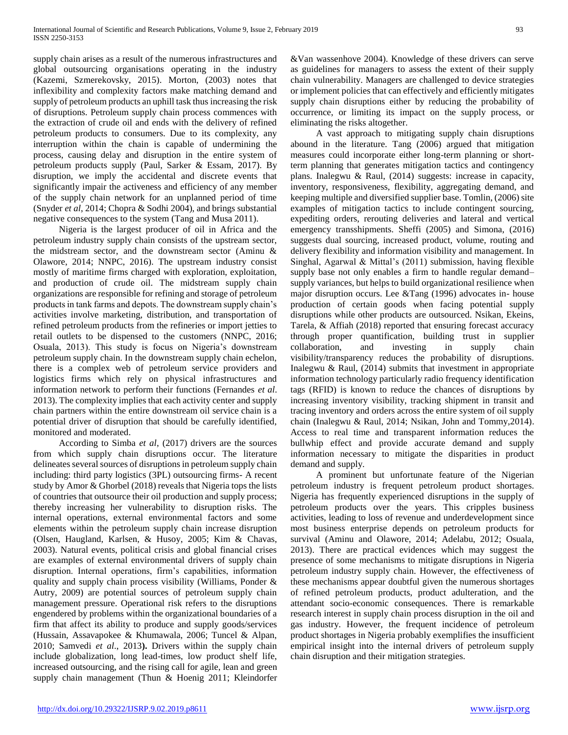supply chain arises as a result of the numerous infrastructures and global outsourcing organisations operating in the industry (Kazemi, Szmerekovsky, 2015). Morton, (2003) notes that inflexibility and complexity factors make matching demand and supply of petroleum products an uphill task thus increasing the risk of disruptions. Petroleum supply chain process commences with the extraction of crude oil and ends with the delivery of refined petroleum products to consumers. Due to its complexity, any interruption within the chain is capable of undermining the process, causing delay and disruption in the entire system of petroleum products supply (Paul, Sarker & Essam, 2017). By disruption, we imply the accidental and discrete events that significantly impair the activeness and efficiency of any member of the supply chain network for an unplanned period of time (Snyder *et al*, 2014; Chopra & Sodhi 2004), and brings substantial negative consequences to the system (Tang and Musa 2011).

 Nigeria is the largest producer of oil in Africa and the petroleum industry supply chain consists of the upstream sector, the midstream sector, and the downstream sector (Aminu & Olawore, 2014; NNPC, 2016). The upstream industry consist mostly of maritime firms charged with exploration, exploitation, and production of crude oil. The midstream supply chain organizations are responsible for refining and storage of petroleum products in tank farms and depots. The downstream supply chain's activities involve marketing, distribution, and transportation of refined petroleum products from the refineries or import jetties to retail outlets to be dispensed to the customers (NNPC, 2016; Osuala, 2013). This study is focus on Nigeria's downstream petroleum supply chain. In the downstream supply chain echelon, there is a complex web of petroleum service providers and logistics firms which rely on physical infrastructures and information network to perform their functions (Fernandes *et al*. 2013). The complexity implies that each activity center and supply chain partners within the entire downstream oil service chain is a potential driver of disruption that should be carefully identified, monitored and moderated.

 According to Simba *et al*, (2017) drivers are the sources from which supply chain disruptions occur. The literature delineates several sources of disruptions in petroleum supply chain including: third party logistics (3PL) outsourcing firms- A recent study by Amor & Ghorbel (2018) reveals that Nigeria tops the lists of countries that outsource their oil production and supply process; thereby increasing her vulnerability to disruption risks. The internal operations, external environmental factors and some elements within the petroleum supply chain increase disruption (Olsen, Haugland, Karlsen, & Husoy, 2005; Kim & Chavas, 2003). Natural events, political crisis and global financial crises are examples of external environmental drivers of supply chain disruption. Internal operations, firm's capabilities, information quality and supply chain process visibility (Williams, Ponder & Autry, 2009) are potential sources of petroleum supply chain management pressure. Operational risk refers to the disruptions engendered by problems within the organizational boundaries of a firm that affect its ability to produce and supply goods/services (Hussain, Assavapokee & Khumawala, 2006; Tuncel & Alpan, 2010; Samvedi *et al*., 2013**).** Drivers within the supply chain include globalization, long lead-times, low product shelf life, increased outsourcing, and the rising call for agile, lean and green supply chain management (Thun & Hoenig 2011; Kleindorfer &Van wassenhove 2004). Knowledge of these drivers can serve as guidelines for managers to assess the extent of their supply chain vulnerability. Managers are challenged to device strategies or implement policies that can effectively and efficiently mitigates supply chain disruptions either by reducing the probability of occurrence, or limiting its impact on the supply process, or eliminating the risks altogether.

 A vast approach to mitigating supply chain disruptions abound in the literature. Tang (2006) argued that mitigation measures could incorporate either long-term planning or shortterm planning that generates mitigation tactics and contingency plans. Inalegwu & Raul, (2014) suggests: increase in capacity, inventory, responsiveness, flexibility, aggregating demand, and keeping multiple and diversified supplier base. Tomlin, (2006) site examples of mitigation tactics to include contingent sourcing, expediting orders, rerouting deliveries and lateral and vertical emergency transshipments. Sheffi (2005) and Simona, (2016) suggests dual sourcing, increased product, volume, routing and delivery flexibility and information visibility and management. In Singhal, Agarwal & Mittal's (2011) submission, having flexible supply base not only enables a firm to handle regular demand– supply variances, but helps to build organizational resilience when major disruption occurs. Lee &Tang (1996) advocates in- house production of certain goods when facing potential supply disruptions while other products are outsourced. Nsikan, Ekeins, Tarela, & Affiah (2018) reported that ensuring forecast accuracy through proper quantification, building trust in supplier collaboration, and investing in supply chain visibility/transparency reduces the probability of disruptions. Inalegwu & Raul, (2014) submits that investment in appropriate information technology particularly radio frequency identification tags (RFID) is known to reduce the chances of disruptions by increasing inventory visibility, tracking shipment in transit and tracing inventory and orders across the entire system of oil supply chain (Inalegwu & Raul, 2014; Nsikan, John and Tommy,2014). Access to real time and transparent information reduces the bullwhip effect and provide accurate demand and supply information necessary to mitigate the disparities in product demand and supply.

 A prominent but unfortunate feature of the Nigerian petroleum industry is frequent petroleum product shortages. Nigeria has frequently experienced disruptions in the supply of petroleum products over the years. This cripples business activities, leading to loss of revenue and underdevelopment since most business enterprise depends on petroleum products for survival (Aminu and Olawore, 2014; Adelabu, 2012; Osuala, 2013). There are practical evidences which may suggest the presence of some mechanisms to mitigate disruptions in Nigeria petroleum industry supply chain. However, the effectiveness of these mechanisms appear doubtful given the numerous shortages of refined petroleum products, product adulteration, and the attendant socio-economic consequences. There is remarkable research interest in supply chain process disruption in the oil and gas industry. However, the frequent incidence of petroleum product shortages in Nigeria probably exemplifies the insufficient empirical insight into the internal drivers of petroleum supply chain disruption and their mitigation strategies.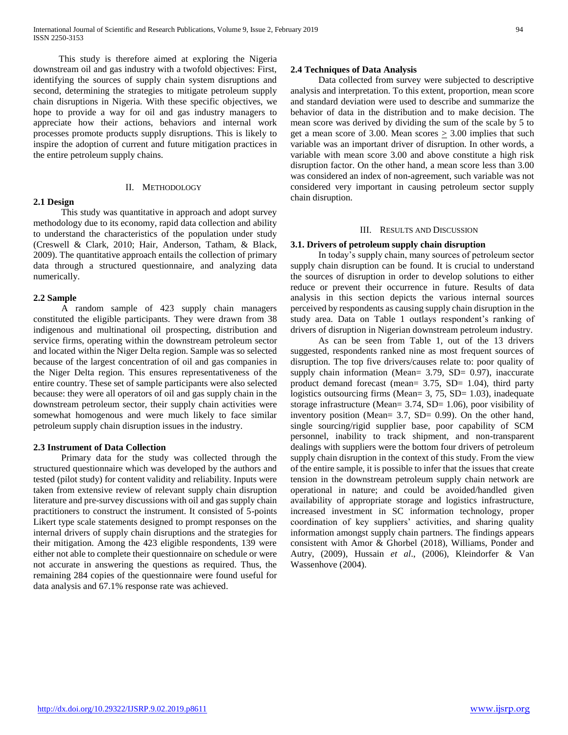This study is therefore aimed at exploring the Nigeria downstream oil and gas industry with a twofold objectives: First, identifying the sources of supply chain system disruptions and second, determining the strategies to mitigate petroleum supply chain disruptions in Nigeria. With these specific objectives, we hope to provide a way for oil and gas industry managers to appreciate how their actions, behaviors and internal work processes promote products supply disruptions. This is likely to inspire the adoption of current and future mitigation practices in the entire petroleum supply chains.

# **2.1 Design**

#### II. METHODOLOGY

 This study was quantitative in approach and adopt survey methodology due to its economy, rapid data collection and ability to understand the characteristics of the population under study (Creswell & Clark, 2010; Hair, Anderson, Tatham, & Black, 2009). The quantitative approach entails the collection of primary data through a structured questionnaire, and analyzing data numerically.

# **2.2 Sample**

 A random sample of 423 supply chain managers constituted the eligible participants. They were drawn from 38 indigenous and multinational oil prospecting, distribution and service firms, operating within the downstream petroleum sector and located within the Niger Delta region. Sample was so selected because of the largest concentration of oil and gas companies in the Niger Delta region. This ensures representativeness of the entire country. These set of sample participants were also selected because: they were all operators of oil and gas supply chain in the downstream petroleum sector, their supply chain activities were somewhat homogenous and were much likely to face similar petroleum supply chain disruption issues in the industry.

#### **2.3 Instrument of Data Collection**

 Primary data for the study was collected through the structured questionnaire which was developed by the authors and tested (pilot study) for content validity and reliability. Inputs were taken from extensive review of relevant supply chain disruption literature and pre-survey discussions with oil and gas supply chain practitioners to construct the instrument. It consisted of 5-points Likert type scale statements designed to prompt responses on the internal drivers of supply chain disruptions and the strategies for their mitigation. Among the 423 eligible respondents, 139 were either not able to complete their questionnaire on schedule or were not accurate in answering the questions as required. Thus, the remaining 284 copies of the questionnaire were found useful for data analysis and 67.1% response rate was achieved.

# **2.4 Techniques of Data Analysis**

 Data collected from survey were subjected to descriptive analysis and interpretation. To this extent, proportion, mean score and standard deviation were used to describe and summarize the behavior of data in the distribution and to make decision. The mean score was derived by dividing the sum of the scale by 5 to get a mean score of 3.00. Mean scores  $\geq$  3.00 implies that such variable was an important driver of disruption. In other words, a variable with mean score 3.00 and above constitute a high risk disruption factor. On the other hand, a mean score less than 3.00 was considered an index of non-agreement, such variable was not considered very important in causing petroleum sector supply chain disruption.

#### III. RESULTS AND DISCUSSION

# **3.1. Drivers of petroleum supply chain disruption**

 In today's supply chain, many sources of petroleum sector supply chain disruption can be found. It is crucial to understand the sources of disruption in order to develop solutions to either reduce or prevent their occurrence in future. Results of data analysis in this section depicts the various internal sources perceived by respondents as causing supply chain disruption in the study area. Data on Table 1 outlays respondent's ranking of drivers of disruption in Nigerian downstream petroleum industry.

 As can be seen from Table 1, out of the 13 drivers suggested, respondents ranked nine as most frequent sources of disruption. The top five drivers/causes relate to: poor quality of supply chain information (Mean= 3.79, SD= 0.97), inaccurate product demand forecast (mean= 3.75, SD= 1.04), third party logistics outsourcing firms (Mean=  $3, 75, SD = 1.03$ ), inadequate storage infrastructure (Mean= 3.74, SD= 1.06), poor visibility of inventory position (Mean=  $3.7$ , SD= 0.99). On the other hand, single sourcing/rigid supplier base, poor capability of SCM personnel, inability to track shipment, and non-transparent dealings with suppliers were the bottom four drivers of petroleum supply chain disruption in the context of this study. From the view of the entire sample, it is possible to infer that the issues that create tension in the downstream petroleum supply chain network are operational in nature; and could be avoided/handled given availability of appropriate storage and logistics infrastructure, increased investment in SC information technology, proper coordination of key suppliers' activities, and sharing quality information amongst supply chain partners. The findings appears consistent with Amor & Ghorbel (2018), Williams, Ponder and Autry, (2009), Hussain *et al*., (2006), Kleindorfer & Van Wassenhove (2004).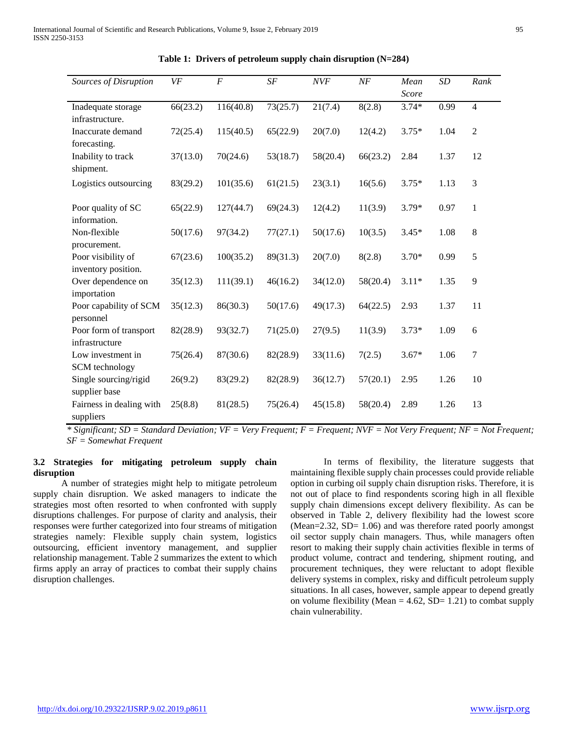| Sources of Disruption                     | VF       | $\cal F$  | SF       | <b>NVF</b> | NF       | Mean<br>Score | SD   | Rank             |
|-------------------------------------------|----------|-----------|----------|------------|----------|---------------|------|------------------|
| Inadequate storage<br>infrastructure.     | 66(23.2) | 116(40.8) | 73(25.7) | 21(7.4)    | 8(2.8)   | $3.74*$       | 0.99 | $\overline{4}$   |
| Inaccurate demand<br>forecasting.         | 72(25.4) | 115(40.5) | 65(22.9) | 20(7.0)    | 12(4.2)  | $3.75*$       | 1.04 | $\overline{2}$   |
| Inability to track<br>shipment.           | 37(13.0) | 70(24.6)  | 53(18.7) | 58(20.4)   | 66(23.2) | 2.84          | 1.37 | 12               |
| Logistics outsourcing                     | 83(29.2) | 101(35.6) | 61(21.5) | 23(3.1)    | 16(5.6)  | $3.75*$       | 1.13 | 3                |
| Poor quality of SC<br>information.        | 65(22.9) | 127(44.7) | 69(24.3) | 12(4.2)    | 11(3.9)  | $3.79*$       | 0.97 | $\mathbf{1}$     |
| Non-flexible<br>procurement.              | 50(17.6) | 97(34.2)  | 77(27.1) | 50(17.6)   | 10(3.5)  | $3.45*$       | 1.08 | $8\,$            |
| Poor visibility of<br>inventory position. | 67(23.6) | 100(35.2) | 89(31.3) | 20(7.0)    | 8(2.8)   | $3.70*$       | 0.99 | 5                |
| Over dependence on<br>importation         | 35(12.3) | 111(39.1) | 46(16.2) | 34(12.0)   | 58(20.4) | $3.11*$       | 1.35 | 9                |
| Poor capability of SCM<br>personnel       | 35(12.3) | 86(30.3)  | 50(17.6) | 49(17.3)   | 64(22.5) | 2.93          | 1.37 | 11               |
| Poor form of transport<br>infrastructure  | 82(28.9) | 93(32.7)  | 71(25.0) | 27(9.5)    | 11(3.9)  | $3.73*$       | 1.09 | 6                |
| Low investment in<br>SCM technology       | 75(26.4) | 87(30.6)  | 82(28.9) | 33(11.6)   | 7(2.5)   | $3.67*$       | 1.06 | $\boldsymbol{7}$ |
| Single sourcing/rigid<br>supplier base    | 26(9.2)  | 83(29.2)  | 82(28.9) | 36(12.7)   | 57(20.1) | 2.95          | 1.26 | 10               |
| Fairness in dealing with<br>suppliers     | 25(8.8)  | 81(28.5)  | 75(26.4) | 45(15.8)   | 58(20.4) | 2.89          | 1.26 | 13               |

**Table 1: Drivers of petroleum supply chain disruption (N=284)**

*\* Significant; SD = Standard Deviation; VF = Very Frequent; F = Frequent; NVF = Not Very Frequent; NF = Not Frequent; SF = Somewhat Frequent*

#### **3.2 Strategies for mitigating petroleum supply chain disruption**

 A number of strategies might help to mitigate petroleum supply chain disruption. We asked managers to indicate the strategies most often resorted to when confronted with supply disruptions challenges. For purpose of clarity and analysis, their responses were further categorized into four streams of mitigation strategies namely: Flexible supply chain system, logistics outsourcing, efficient inventory management, and supplier relationship management. Table 2 summarizes the extent to which firms apply an array of practices to combat their supply chains disruption challenges.

In terms of flexibility, the literature suggests that maintaining flexible supply chain processes could provide reliable option in curbing oil supply chain disruption risks. Therefore, it is not out of place to find respondents scoring high in all flexible supply chain dimensions except delivery flexibility. As can be observed in Table 2, delivery flexibility had the lowest score (Mean=2.32, SD= 1.06) and was therefore rated poorly amongst oil sector supply chain managers. Thus, while managers often resort to making their supply chain activities flexible in terms of product volume, contract and tendering, shipment routing, and procurement techniques, they were reluctant to adopt flexible delivery systems in complex, risky and difficult petroleum supply situations. In all cases, however, sample appear to depend greatly on volume flexibility (Mean  $= 4.62$ , SD $= 1.21$ ) to combat supply chain vulnerability.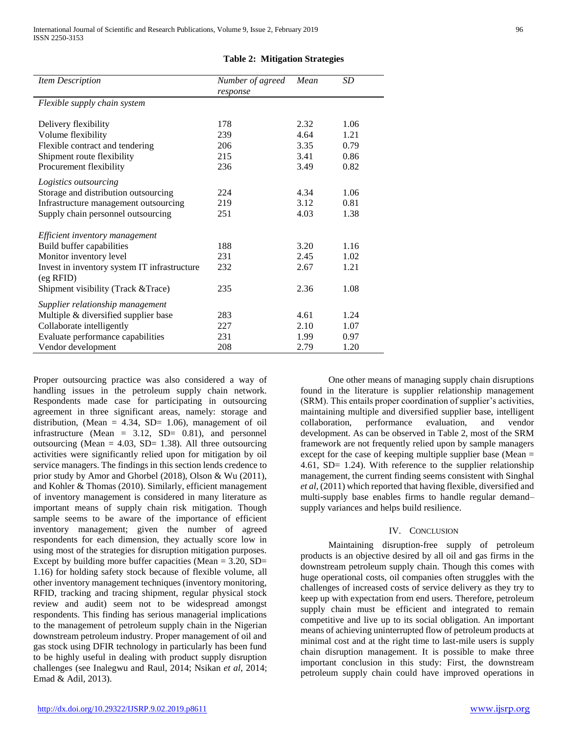| <b>Item Description</b>                      | Number of agreed | Mean | SD   |
|----------------------------------------------|------------------|------|------|
| Flexible supply chain system                 | response         |      |      |
| Delivery flexibility                         | 178              | 2.32 | 1.06 |
| Volume flexibility                           | 239              | 4.64 | 1.21 |
| Flexible contract and tendering              | 206              | 3.35 | 0.79 |
| Shipment route flexibility                   | 215              | 3.41 | 0.86 |
| Procurement flexibility                      | 236              | 3.49 | 0.82 |
| Logistics outsourcing                        |                  |      |      |
| Storage and distribution outsourcing         | 224              | 4.34 | 1.06 |
| Infrastructure management outsourcing        | 219              | 3.12 | 0.81 |
| Supply chain personnel outsourcing           | 251              | 4.03 | 1.38 |
|                                              |                  |      |      |
| Efficient inventory management               |                  |      |      |
| Build buffer capabilities                    | 188              | 3.20 | 1.16 |
| Monitor inventory level                      | 231              | 2.45 | 1.02 |
| Invest in inventory system IT infrastructure | 232              | 2.67 | 1.21 |
| $(eg$ RFID $)$                               |                  |      |      |
| Shipment visibility (Track & Trace)          | 235              | 2.36 | 1.08 |
| Supplier relationship management             |                  |      |      |
| Multiple & diversified supplier base         | 283              | 4.61 | 1.24 |
| Collaborate intelligently                    | 227              | 2.10 | 1.07 |
| Evaluate performance capabilities            | 231              | 1.99 | 0.97 |
| Vendor development                           | 208              | 2.79 | 1.20 |
|                                              |                  |      |      |

#### **Table 2: Mitigation Strategies**

Proper outsourcing practice was also considered a way of handling issues in the petroleum supply chain network. Respondents made case for participating in outsourcing agreement in three significant areas, namely: storage and distribution, (Mean =  $4.34$ , SD= 1.06), management of oil infrastructure (Mean =  $3.12$ , SD= 0.81), and personnel outsourcing (Mean =  $4.03$ , SD= 1.38). All three outsourcing activities were significantly relied upon for mitigation by oil service managers. The findings in this section lends credence to prior study by Amor and Ghorbel (2018), Olson & Wu (2011), and Kohler & Thomas (2010). Similarly, efficient management of inventory management is considered in many literature as important means of supply chain risk mitigation. Though sample seems to be aware of the importance of efficient inventory management; given the number of agreed respondents for each dimension, they actually score low in using most of the strategies for disruption mitigation purposes. Except by building more buffer capacities (Mean  $= 3.20$ , SD $=$ 1.16) for holding safety stock because of flexible volume, all other inventory management techniques (inventory monitoring, RFID, tracking and tracing shipment, regular physical stock review and audit) seem not to be widespread amongst respondents. This finding has serious managerial implications to the management of petroleum supply chain in the Nigerian downstream petroleum industry. Proper management of oil and gas stock using DFIR technology in particularly has been fund to be highly useful in dealing with product supply disruption challenges (see Inalegwu and Raul, 2014; Nsikan *et al*, 2014; Emad & Adil, 2013).

 One other means of managing supply chain disruptions found in the literature is supplier relationship management (SRM). This entails proper coordination of supplier's activities, maintaining multiple and diversified supplier base, intelligent collaboration, performance evaluation, and vendor development. As can be observed in Table 2, most of the SRM framework are not frequently relied upon by sample managers except for the case of keeping multiple supplier base (Mean = 4.61, SD= 1.24). With reference to the supplier relationship management, the current finding seems consistent with Singhal *et al*, (2011) which reported that having flexible, diversified and multi-supply base enables firms to handle regular demand– supply variances and helps build resilience.

#### IV. CONCLUSION

 Maintaining disruption-free supply of petroleum products is an objective desired by all oil and gas firms in the downstream petroleum supply chain. Though this comes with huge operational costs, oil companies often struggles with the challenges of increased costs of service delivery as they try to keep up with expectation from end users. Therefore, petroleum supply chain must be efficient and integrated to remain competitive and live up to its social obligation. An important means of achieving uninterrupted flow of petroleum products at minimal cost and at the right time to last-mile users is supply chain disruption management. It is possible to make three important conclusion in this study: First, the downstream petroleum supply chain could have improved operations in